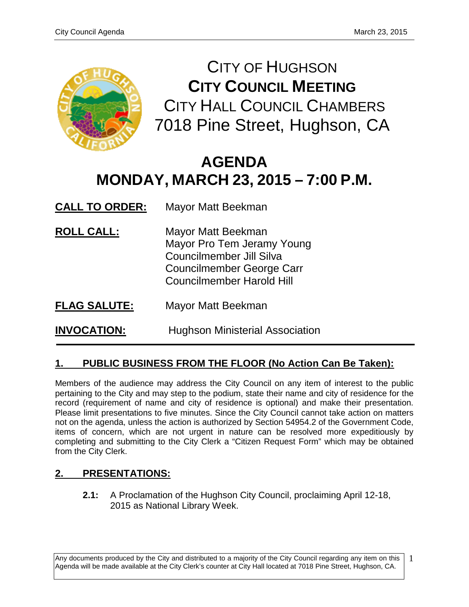

CITY OF HUGHSON **CITY COUNCIL MEETING** CITY HALL COUNCIL CHAMBERS 7018 Pine Street, Hughson, CA

# **AGENDA MONDAY, MARCH 23, 2015 – 7:00 P.M.**

| <b>CALL TO ORDER:</b> | Mayor Matt Beekman |
|-----------------------|--------------------|
|-----------------------|--------------------|

- **ROLL CALL:** Mayor Matt Beekman Mayor Pro Tem Jeramy Young Councilmember Jill Silva Councilmember George Carr Councilmember Harold Hill
- **FLAG SALUTE:** Mayor Matt Beekman

**INVOCATION:** Hughson Ministerial Association

## **1. PUBLIC BUSINESS FROM THE FLOOR (No Action Can Be Taken):**

Members of the audience may address the City Council on any item of interest to the public pertaining to the City and may step to the podium, state their name and city of residence for the record (requirement of name and city of residence is optional) and make their presentation. Please limit presentations to five minutes. Since the City Council cannot take action on matters not on the agenda, unless the action is authorized by Section 54954.2 of the Government Code, items of concern, which are not urgent in nature can be resolved more expeditiously by completing and submitting to the City Clerk a "Citizen Request Form" which may be obtained from the City Clerk.

## **2. PRESENTATIONS:**

**2.1:** A Proclamation of the Hughson City Council, proclaiming April 12-18, 2015 as National Library Week.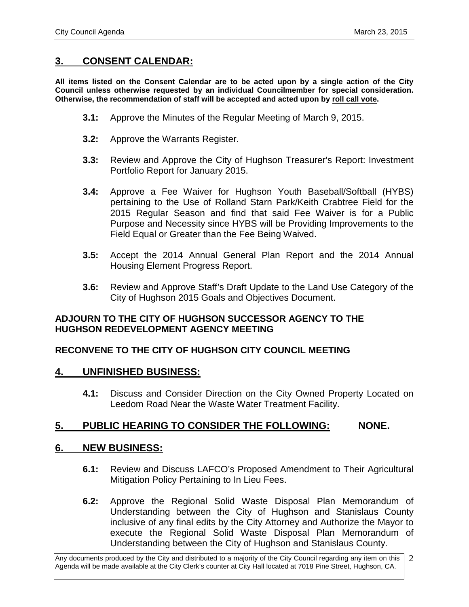#### **3. CONSENT CALENDAR:**

**All items listed on the Consent Calendar are to be acted upon by a single action of the City Council unless otherwise requested by an individual Councilmember for special consideration. Otherwise, the recommendation of staff will be accepted and acted upon by roll call vote.**

- **3.1:** Approve the Minutes of the Regular Meeting of March 9, 2015.
- **3.2:** Approve the Warrants Register.
- **3.3:** Review and Approve the City of Hughson Treasurer's Report: Investment Portfolio Report for January 2015.
- **3.4:** Approve a Fee Waiver for Hughson Youth Baseball/Softball (HYBS) pertaining to the Use of Rolland Starn Park/Keith Crabtree Field for the 2015 Regular Season and find that said Fee Waiver is for a Public Purpose and Necessity since HYBS will be Providing Improvements to the Field Equal or Greater than the Fee Being Waived.
- **3.5:** Accept the 2014 Annual General Plan Report and the 2014 Annual Housing Element Progress Report.
- **3.6:** Review and Approve Staff's Draft Update to the Land Use Category of the City of Hughson 2015 Goals and Objectives Document.

#### **ADJOURN TO THE CITY OF HUGHSON SUCCESSOR AGENCY TO THE HUGHSON REDEVELOPMENT AGENCY MEETING**

#### **RECONVENE TO THE CITY OF HUGHSON CITY COUNCIL MEETING**

#### **4. UNFINISHED BUSINESS:**

**4.1:** Discuss and Consider Direction on the City Owned Property Located on Leedom Road Near the Waste Water Treatment Facility.

#### **5. PUBLIC HEARING TO CONSIDER THE FOLLOWING: NONE.**

#### **6. NEW BUSINESS:**

- **6.1:** Review and Discuss LAFCO's Proposed Amendment to Their Agricultural Mitigation Policy Pertaining to In Lieu Fees.
- **6.2:** Approve the Regional Solid Waste Disposal Plan Memorandum of Understanding between the City of Hughson and Stanislaus County inclusive of any final edits by the City Attorney and Authorize the Mayor to execute the Regional Solid Waste Disposal Plan Memorandum of Understanding between the City of Hughson and Stanislaus County.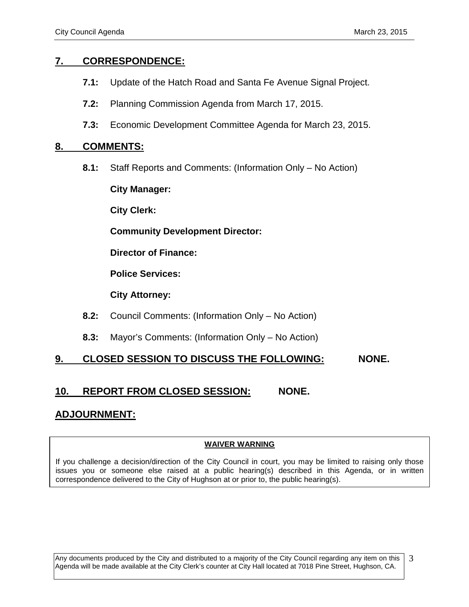#### **7. CORRESPONDENCE:**

- **7.1:** Update of the Hatch Road and Santa Fe Avenue Signal Project.
- **7.2:** Planning Commission Agenda from March 17, 2015.
- **7.3:** Economic Development Committee Agenda for March 23, 2015.

#### **8. COMMENTS:**

**8.1:** Staff Reports and Comments: (Information Only – No Action)

**City Manager:** 

**City Clerk:**

**Community Development Director:**

**Director of Finance:**

**Police Services:**

**City Attorney:**

- **8.2:** Council Comments: (Information Only No Action)
- **8.3:** Mayor's Comments: (Information Only No Action)

### **9. CLOSED SESSION TO DISCUSS THE FOLLOWING: NONE.**

## **10. REPORT FROM CLOSED SESSION: NONE.**

## **ADJOURNMENT:**

#### **WAIVER WARNING**

If you challenge a decision/direction of the City Council in court, you may be limited to raising only those issues you or someone else raised at a public hearing(s) described in this Agenda, or in written correspondence delivered to the City of Hughson at or prior to, the public hearing(s).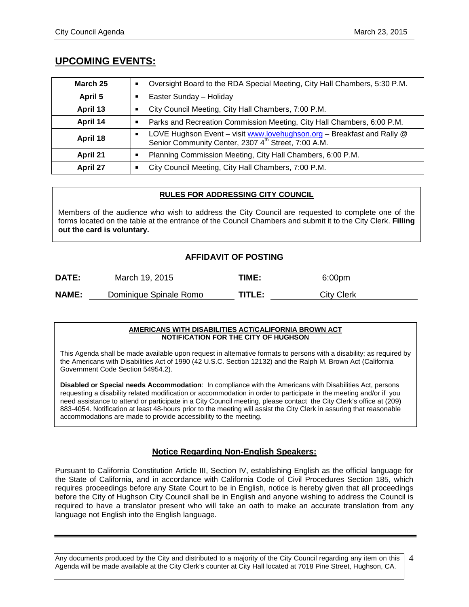## **UPCOMING EVENTS:**

| March 25 | Oversight Board to the RDA Special Meeting, City Hall Chambers, 5:30 P.M.<br>п                                                                  |
|----------|-------------------------------------------------------------------------------------------------------------------------------------------------|
| April 5  | Easter Sunday - Holiday<br>п                                                                                                                    |
| April 13 | City Council Meeting, City Hall Chambers, 7:00 P.M.<br>٠                                                                                        |
| April 14 | Parks and Recreation Commission Meeting, City Hall Chambers, 6:00 P.M.<br>٠                                                                     |
| April 18 | LOVE Hughson Event - visit www.lovehughson.org - Breakfast and Rally @<br>$\blacksquare$<br>Senior Community Center, 2307 4th Street, 7:00 A.M. |
| April 21 | Planning Commission Meeting, City Hall Chambers, 6:00 P.M.<br>п                                                                                 |
| April 27 | City Council Meeting, City Hall Chambers, 7:00 P.M.<br>$\blacksquare$                                                                           |

#### **RULES FOR ADDRESSING CITY COUNCIL**

Members of the audience who wish to address the City Council are requested to complete one of the forms located on the table at the entrance of the Council Chambers and submit it to the City Clerk. **Filling out the card is voluntary.**

#### **AFFIDAVIT OF POSTING**

| <b>DATE:</b> | March 19, 2015         | TIME:  | 6:00 <sub>pm</sub> |  |
|--------------|------------------------|--------|--------------------|--|
| <b>NAME:</b> | Dominique Spinale Romo | TITLE: | <b>City Clerk</b>  |  |

#### **AMERICANS WITH DISABILITIES ACT/CALIFORNIA BROWN ACT NOTIFICATION FOR THE CITY OF HUGHSON**

This Agenda shall be made available upon request in alternative formats to persons with a disability; as required by the Americans with Disabilities Act of 1990 (42 U.S.C. Section 12132) and the Ralph M. Brown Act (California Government Code Section 54954.2).

**Disabled or Special needs Accommodation**: In compliance with the Americans with Disabilities Act, persons requesting a disability related modification or accommodation in order to participate in the meeting and/or if you need assistance to attend or participate in a City Council meeting, please contact the City Clerk's office at (209) 883-4054. Notification at least 48-hours prior to the meeting will assist the City Clerk in assuring that reasonable accommodations are made to provide accessibility to the meeting.

#### **Notice Regarding Non-English Speakers:**

Pursuant to California Constitution Article III, Section IV, establishing English as the official language for the State of California, and in accordance with California Code of Civil Procedures Section 185, which requires proceedings before any State Court to be in English, notice is hereby given that all proceedings before the City of Hughson City Council shall be in English and anyone wishing to address the Council is required to have a translator present who will take an oath to make an accurate translation from any language not English into the English language.